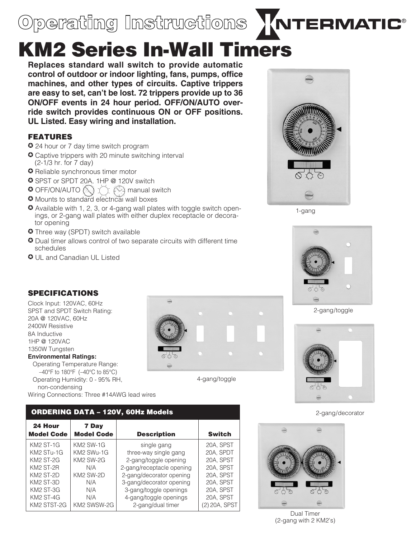## Operating Instructions **ATTERMATIC**®

# KM2 Series In-Wall Timers

**Replaces standard wall switch to provide automatic control of outdoor or indoor lighting, fans, pumps, office machines, and other types of circuits. Captive trippers are easy to set, can't be lost. 72 trippers provide up to 36 on/off events in 24 hour period. OFF/ON/AUTO override switch provides continuous ON or OFF positions. UL Listed. Easy wiring and installation.**

### FEATURES

- 24 hour or 7 day time switch program
- **C** Captive trippers with 20 minute switching interval (2-1/3 hr. for 7 day)
- **O** Reliable synchronous timer motor
- SPST or SPDT 20A, 1HP @ 120V switch
- $\bullet$  OFF/ON/AUTO  $\bigcirc$   $\bigcirc$   $\leftrightarrow$  manual switch
- $\bullet$  Mounts to standard electrical wall boxes
- J Available with 1, 2, 3, or 4-gang wall plates with toggle switch openings, or 2-gang wall plates with either duplex receptacle or decorator opening
- **Three way (SPDT) switch available**
- **O** Dual timer allows control of two separate circuits with different time schedules
- **O** UL and Canadian UL Listed



1-gang



2-gang/toggle



2-gang/decorator



4-gang/toggle

Dual Timer (2-gang with 2 KM2's)

## SPECIFICATIONS

Clock Input: 120VAC, 60Hz SPST and SPDT Switch Rating: 20A @ 120VAC, 60Hz 2400W Resistive 8A Inductive 1HP @ 120VAC 1350W Tungsten

#### **Environmental Ratings:**

Operating Temperature Range: –40°F to 180°F (–40°C to 85°C) Operating Humidity: 0 - 95% RH, non-condensing

Wiring Connections: Three #14AWG lead wires

#### ORDERING DATA – 120V, 60Hz Models

| 24 Hour<br><b>Model Code</b> | 7 Day<br><b>Model Code</b> | <b>Description</b>        | <b>Switch</b> |
|------------------------------|----------------------------|---------------------------|---------------|
| <b>KM2 ST-1G</b>             | <b>KM2 SW-1G</b>           | single gang               | 20A. SPST     |
| KM2 STu-1G                   | KM2 SWu-1G                 | three-way single gang     | 20A. SPDT     |
| KM <sub>2</sub> ST-2G        | KM2 SW-2G                  | 2-gang/toggle opening     | 20A. SPST     |
| KM2 ST-2R                    | N/A                        | 2-gang/receptacle opening | 20A. SPST     |
| KM2 ST-2D                    | KM2 SW-2D                  | 2-gang/decorator opening  | 20A. SPST     |
| KM2 ST-3D                    | N/A                        | 3-gang/decorator opening  | 20A, SPST     |
| KM2 ST-3G                    | N/A                        | 3-gang/toggle openings    | 20A. SPST     |
| KM2 ST-4G                    | N/A                        | 4-gang/toggle openings    | 20A, SPST     |
| KM2 STST-2G                  | KM2 SWSW-2G                | 2-gang/dual timer         | (2) 20A, SPST |